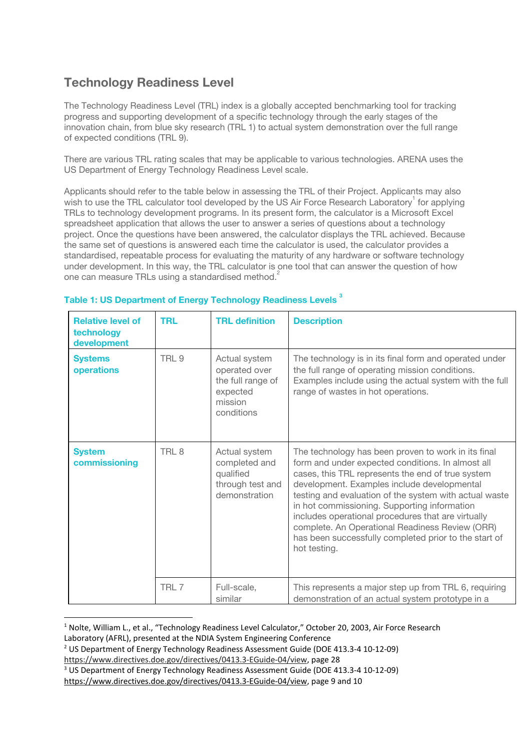## **Technology Readiness Level**

The Technology Readiness Level (TRL) index is a globally accepted benchmarking tool for tracking progress and supporting development of a specific technology through the early stages of the innovation chain, from blue sky research (TRL 1) to actual system demonstration over the full range of expected conditions (TRL 9).

There are various TRL rating scales that may be applicable to various technologies. ARENA uses the US Department of Energy Technology Readiness Level scale.

Applicants should refer to the table below in assessing the TRL of their Project. Applicants may also wish to use the TRL calculator tool developed by the US Air Force Research Laboratory<sup>1</sup> for applying TRLs to technology development programs. In its present form, the calculator is a Microsoft Excel spreadsheet application that allows the user to answer a series of questions about a technology project. Once the questions have been answered, the calculator displays the TRL achieved. Because the same set of questions is answered each time the calculator is used, the calculator provides a standardised, repeatable process for evaluating the maturity of any hardware or software technology under development. In this way, the TRL calculator is one tool that can answer the question of how one can measure TRLs using a standardised method.<sup>2</sup>

| <b>Relative level of</b><br>technology<br>development | <b>TRL</b>       | <b>TRL</b> definition                                                                    | <b>Description</b>                                                                                                                                                                                                                                                                                                                                                                                                                                                                                       |
|-------------------------------------------------------|------------------|------------------------------------------------------------------------------------------|----------------------------------------------------------------------------------------------------------------------------------------------------------------------------------------------------------------------------------------------------------------------------------------------------------------------------------------------------------------------------------------------------------------------------------------------------------------------------------------------------------|
| <b>Systems</b><br>operations                          | TRL <sub>9</sub> | Actual system<br>operated over<br>the full range of<br>expected<br>mission<br>conditions | The technology is in its final form and operated under<br>the full range of operating mission conditions.<br>Examples include using the actual system with the full<br>range of wastes in hot operations.                                                                                                                                                                                                                                                                                                |
| <b>System</b><br>commissioning                        | TRL <sub>8</sub> | Actual system<br>completed and<br>qualified<br>through test and<br>demonstration         | The technology has been proven to work in its final<br>form and under expected conditions. In almost all<br>cases, this TRL represents the end of true system<br>development. Examples include developmental<br>testing and evaluation of the system with actual waste<br>in hot commissioning. Supporting information<br>includes operational procedures that are virtually<br>complete. An Operational Readiness Review (ORR)<br>has been successfully completed prior to the start of<br>hot testing. |
|                                                       | TRL 7            | Full-scale,<br>similar                                                                   | This represents a major step up from TRL 6, requiring<br>demonstration of an actual system prototype in a                                                                                                                                                                                                                                                                                                                                                                                                |

## **Table 1: US Department of Energy Technology Readiness Levels 3**

Laboratory (AFRL), presented at the NDIA System Engineering Conference

<sup>&</sup>lt;sup>1</sup> Nolte, William L., et al., "Technology Readiness Level Calculator," October 20, 2003, Air Force Research

<sup>2</sup> US Department of Energy Technology Readiness Assessment Guide (DOE 413.3-4 10-12-09)

[https://www.directives.doe.gov/directives/0413.3-EGuide-04/view,](https://www.directives.doe.gov/directives/0413.3-EGuide-04/view) page 28

<sup>3</sup> US Department of Energy Technology Readiness Assessment Guide (DOE 413.3-4 10-12-09)

[https://www.directives.doe.gov/directives/0413.3-EGuide-04/view,](https://www.directives.doe.gov/directives/0413.3-EGuide-04/view) page 9 and 10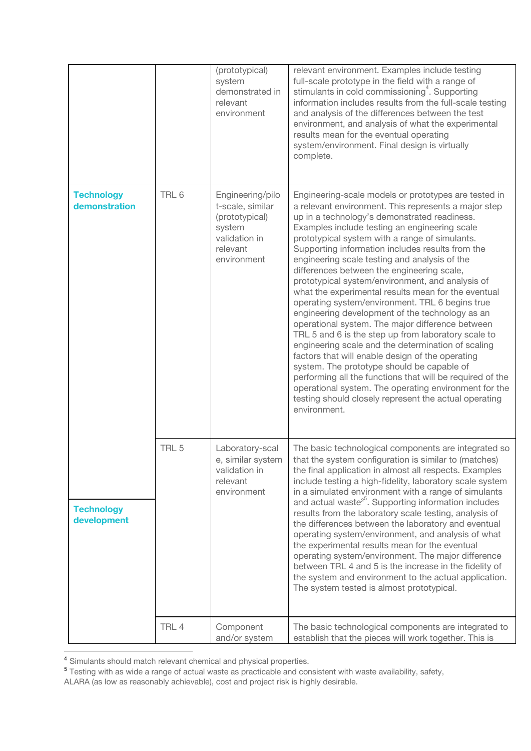|                                                                        |                  | (prototypical)<br>system<br>demonstrated in<br>relevant<br>environment                                       | relevant environment. Examples include testing<br>full-scale prototype in the field with a range of<br>stimulants in cold commissioning <sup>4</sup> . Supporting<br>information includes results from the full-scale testing<br>and analysis of the differences between the test<br>environment, and analysis of what the experimental<br>results mean for the eventual operating<br>system/environment. Final design is virtually<br>complete.                                                                                                                                                                                                                                                                                                                                                                                                                                                                                                                                                                                                                                                      |
|------------------------------------------------------------------------|------------------|--------------------------------------------------------------------------------------------------------------|-------------------------------------------------------------------------------------------------------------------------------------------------------------------------------------------------------------------------------------------------------------------------------------------------------------------------------------------------------------------------------------------------------------------------------------------------------------------------------------------------------------------------------------------------------------------------------------------------------------------------------------------------------------------------------------------------------------------------------------------------------------------------------------------------------------------------------------------------------------------------------------------------------------------------------------------------------------------------------------------------------------------------------------------------------------------------------------------------------|
| <b>Technology</b><br>demonstration<br><b>Technology</b><br>development | TRL 6            | Engineering/pilo<br>t-scale, similar<br>(prototypical)<br>system<br>validation in<br>relevant<br>environment | Engineering-scale models or prototypes are tested in<br>a relevant environment. This represents a major step<br>up in a technology's demonstrated readiness.<br>Examples include testing an engineering scale<br>prototypical system with a range of simulants.<br>Supporting information includes results from the<br>engineering scale testing and analysis of the<br>differences between the engineering scale,<br>prototypical system/environment, and analysis of<br>what the experimental results mean for the eventual<br>operating system/environment. TRL 6 begins true<br>engineering development of the technology as an<br>operational system. The major difference between<br>TRL 5 and 6 is the step up from laboratory scale to<br>engineering scale and the determination of scaling<br>factors that will enable design of the operating<br>system. The prototype should be capable of<br>performing all the functions that will be required of the<br>operational system. The operating environment for the<br>testing should closely represent the actual operating<br>environment. |
|                                                                        | TRL <sub>5</sub> | Laboratory-scal<br>e, similar system<br>validation in<br>relevant<br>environment                             | The basic technological components are integrated so<br>that the system configuration is similar to (matches)<br>the final application in almost all respects. Examples<br>include testing a high-fidelity, laboratory scale system<br>in a simulated environment with a range of simulants<br>and actual waste <sup>25</sup> . Supporting information includes<br>results from the laboratory scale testing, analysis of<br>the differences between the laboratory and eventual<br>operating system/environment, and analysis of what<br>the experimental results mean for the eventual<br>operating system/environment. The major difference<br>between TRL 4 and 5 is the increase in the fidelity of<br>the system and environment to the actual application.<br>The system tested is almost prototypical.                                                                                                                                                                                                                                                                                        |
|                                                                        | TRL 4            | Component<br>and/or system                                                                                   | The basic technological components are integrated to<br>establish that the pieces will work together. This is                                                                                                                                                                                                                                                                                                                                                                                                                                                                                                                                                                                                                                                                                                                                                                                                                                                                                                                                                                                         |

<sup>&</sup>lt;sup>4</sup> Simulants should match relevant chemical and physical properties.

<sup>&</sup>lt;sup>5</sup> Testing with as wide a range of actual waste as practicable and consistent with waste availability, safety,

ALARA (as low as reasonably achievable), cost and project risk is highly desirable.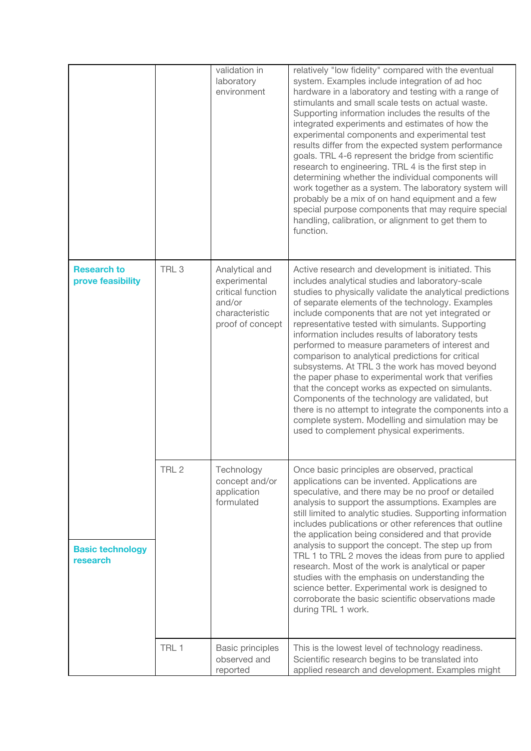|                                         |                  | validation in<br>laboratory<br>environment                                                          | relatively "low fidelity" compared with the eventual<br>system. Examples include integration of ad hoc<br>hardware in a laboratory and testing with a range of<br>stimulants and small scale tests on actual waste.<br>Supporting information includes the results of the<br>integrated experiments and estimates of how the<br>experimental components and experimental test<br>results differ from the expected system performance<br>goals. TRL 4-6 represent the bridge from scientific<br>research to engineering. TRL 4 is the first step in<br>determining whether the individual components will<br>work together as a system. The laboratory system will<br>probably be a mix of on hand equipment and a few<br>special purpose components that may require special<br>handling, calibration, or alignment to get them to<br>function.                       |
|-----------------------------------------|------------------|-----------------------------------------------------------------------------------------------------|-----------------------------------------------------------------------------------------------------------------------------------------------------------------------------------------------------------------------------------------------------------------------------------------------------------------------------------------------------------------------------------------------------------------------------------------------------------------------------------------------------------------------------------------------------------------------------------------------------------------------------------------------------------------------------------------------------------------------------------------------------------------------------------------------------------------------------------------------------------------------|
| <b>Research to</b><br>prove feasibility | TRL <sub>3</sub> | Analytical and<br>experimental<br>critical function<br>and/or<br>characteristic<br>proof of concept | Active research and development is initiated. This<br>includes analytical studies and laboratory-scale<br>studies to physically validate the analytical predictions<br>of separate elements of the technology. Examples<br>include components that are not yet integrated or<br>representative tested with simulants. Supporting<br>information includes results of laboratory tests<br>performed to measure parameters of interest and<br>comparison to analytical predictions for critical<br>subsystems. At TRL 3 the work has moved beyond<br>the paper phase to experimental work that verifies<br>that the concept works as expected on simulants.<br>Components of the technology are validated, but<br>there is no attempt to integrate the components into a<br>complete system. Modelling and simulation may be<br>used to complement physical experiments. |
| <b>Basic technology</b><br>research     | TRL <sub>2</sub> | Technology<br>concept and/or<br>application<br>formulated                                           | Once basic principles are observed, practical<br>applications can be invented. Applications are<br>speculative, and there may be no proof or detailed<br>analysis to support the assumptions. Examples are<br>still limited to analytic studies. Supporting information<br>includes publications or other references that outline<br>the application being considered and that provide<br>analysis to support the concept. The step up from<br>TRL 1 to TRL 2 moves the ideas from pure to applied<br>research. Most of the work is analytical or paper<br>studies with the emphasis on understanding the<br>science better. Experimental work is designed to<br>corroborate the basic scientific observations made<br>during TRL 1 work.                                                                                                                             |
|                                         | TRL 1            | <b>Basic principles</b><br>observed and<br>reported                                                 | This is the lowest level of technology readiness.<br>Scientific research begins to be translated into<br>applied research and development. Examples might                                                                                                                                                                                                                                                                                                                                                                                                                                                                                                                                                                                                                                                                                                             |